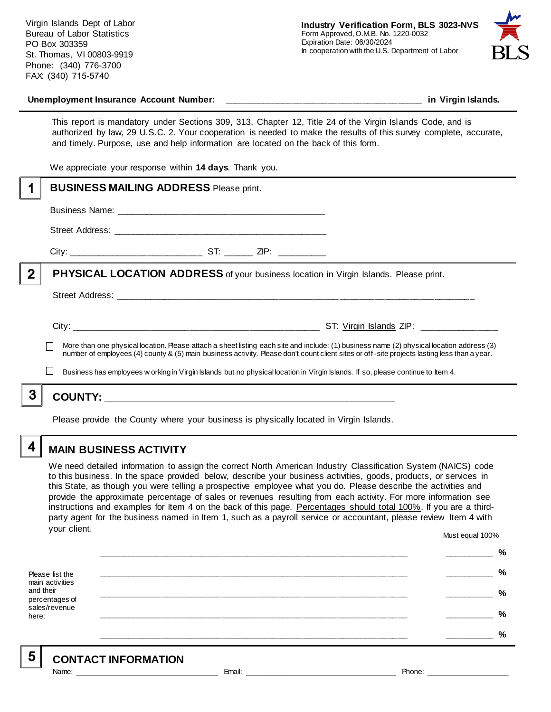Virgin Islands Dept of Labor Bureau of Labor Statistics PO Box 303359 St. Thomas, VI 00803-9919 Phone: (340) 776-3700 FAX: (340) 715-5740



This report is mandatory under Sections 309, 313, Chapter 12, Title 24 of the Virgin Islands Code, and is authorized by law, 29 U.S.C. 2. Your cooperation is needed to make the results of this survey complete, accurate, and timely. Purpose, use and help information are located on the back of this form.

We appreciate your response within **14 days**. Thank you.

|                                                                                                                                                                                                                                                                                          | <b>BUSINESS MAILING ADDRESS Please print.</b>                                                                                   |                                           |
|------------------------------------------------------------------------------------------------------------------------------------------------------------------------------------------------------------------------------------------------------------------------------------------|---------------------------------------------------------------------------------------------------------------------------------|-------------------------------------------|
|                                                                                                                                                                                                                                                                                          |                                                                                                                                 |                                           |
|                                                                                                                                                                                                                                                                                          |                                                                                                                                 |                                           |
|                                                                                                                                                                                                                                                                                          |                                                                                                                                 |                                           |
| $\mathbf{2}$                                                                                                                                                                                                                                                                             | PHYSICAL LOCATION ADDRESS of your business location in Virgin Islands. Please print.                                            |                                           |
|                                                                                                                                                                                                                                                                                          |                                                                                                                                 |                                           |
|                                                                                                                                                                                                                                                                                          |                                                                                                                                 | ST: Virgin Islands ZIP: _________________ |
| More than one physical location. Please attach a sheet listing each site and include: (1) business name (2) physical location address (3)<br>number of employees (4) county & (5) main business activity. Please don't count client sites or off-site projects lasting less than a year. |                                                                                                                                 |                                           |
|                                                                                                                                                                                                                                                                                          | Business has employees w orking in Virgin Islands but no physical location in Virgin Islands. If so, please continue to Item 4. |                                           |
|                                                                                                                                                                                                                                                                                          |                                                                                                                                 |                                           |
|                                                                                                                                                                                                                                                                                          |                                                                                                                                 |                                           |

Please provide the County where your business is physically located in Virgin Islands.

4

5

### **MAIN BUSINESS ACTIVITY**

We need detailed information to assign the correct North American Industry Classification System (NAICS) code to this business. In the space provided below, describe your business activities, goods, products, or services in this State, as though you were telling a prospective employee what you do. Please describe the activities and provide the approximate percentage of sales or revenues resulting from each activity. For more information see instructions and examples for Item 4 on the back of this page. Percentages should total 100%. If you are a thirdparty agent for the business named in Item 1, such as a payroll service or accountant, please review Item 4 with your client. Must equal 100%

Please list the main activities and their percentages of sales/revenue here: **\_\_\_\_\_\_\_\_\_\_\_\_\_\_\_\_\_\_\_\_\_\_\_\_\_\_\_\_\_\_\_\_\_\_\_\_\_\_\_\_\_\_\_\_\_\_\_\_\_\_\_\_\_\_\_\_\_\_\_\_\_\_ \_\_\_\_\_\_\_\_\_\_ % \_\_\_\_\_\_\_\_\_\_\_\_\_\_\_\_\_\_\_\_\_\_\_\_\_\_\_\_\_\_\_\_\_\_\_\_\_\_\_\_\_\_\_\_\_\_\_\_\_\_\_\_\_\_\_\_\_\_\_\_\_\_ \_\_\_\_\_\_\_\_\_\_ % \_\_\_\_\_\_\_\_\_\_\_\_\_\_\_\_\_\_\_\_\_\_\_\_\_\_\_\_\_\_\_\_\_\_\_\_\_\_\_\_\_\_\_\_\_\_\_\_\_\_\_\_\_\_\_\_\_\_\_\_\_\_ \_\_\_\_\_\_\_\_\_\_ % \_\_\_\_\_\_\_\_\_\_\_\_\_\_\_\_\_\_\_\_\_\_\_\_\_\_\_\_\_\_\_\_\_\_\_\_\_\_\_\_\_\_\_\_\_\_\_\_\_\_\_\_\_\_\_\_\_\_\_\_\_\_ \_\_\_\_\_\_\_\_\_\_ % \_\_\_\_\_\_\_\_\_\_\_\_\_\_\_\_\_\_\_\_\_\_\_\_\_\_\_\_\_\_\_\_\_\_\_\_\_\_\_\_\_\_\_\_\_\_\_\_\_\_\_\_\_\_\_\_\_\_\_\_\_\_ \_\_\_\_\_\_\_\_\_\_ %**